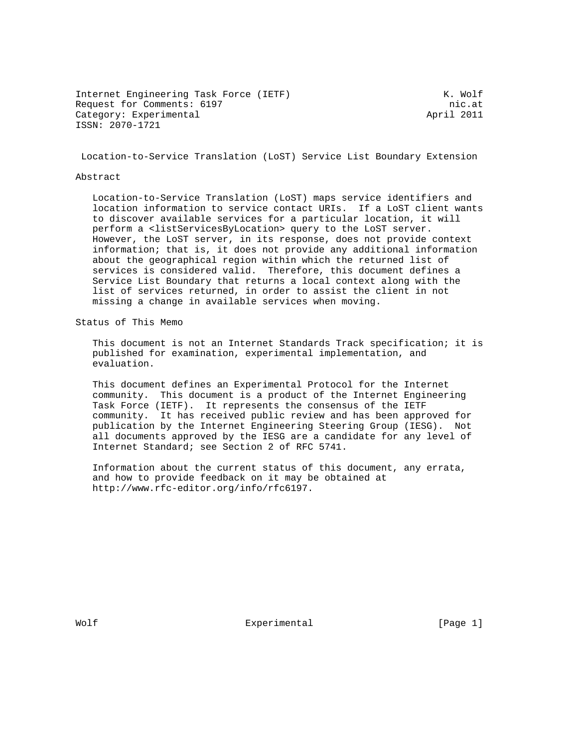Internet Engineering Task Force (IETF) K. Wolf Request for Comments: 6197 nic.at<br>Category: Experimental and Category: Experimental Category: Experimental ISSN: 2070-1721

Location-to-Service Translation (LoST) Service List Boundary Extension

#### Abstract

 Location-to-Service Translation (LoST) maps service identifiers and location information to service contact URIs. If a LoST client wants to discover available services for a particular location, it will perform a <listServicesByLocation> query to the LoST server. However, the LoST server, in its response, does not provide context information; that is, it does not provide any additional information about the geographical region within which the returned list of services is considered valid. Therefore, this document defines a Service List Boundary that returns a local context along with the list of services returned, in order to assist the client in not missing a change in available services when moving.

Status of This Memo

 This document is not an Internet Standards Track specification; it is published for examination, experimental implementation, and evaluation.

 This document defines an Experimental Protocol for the Internet community. This document is a product of the Internet Engineering Task Force (IETF). It represents the consensus of the IETF community. It has received public review and has been approved for publication by the Internet Engineering Steering Group (IESG). Not all documents approved by the IESG are a candidate for any level of Internet Standard; see Section 2 of RFC 5741.

 Information about the current status of this document, any errata, and how to provide feedback on it may be obtained at http://www.rfc-editor.org/info/rfc6197.

Wolf **Experimental** Experimental [Page 1]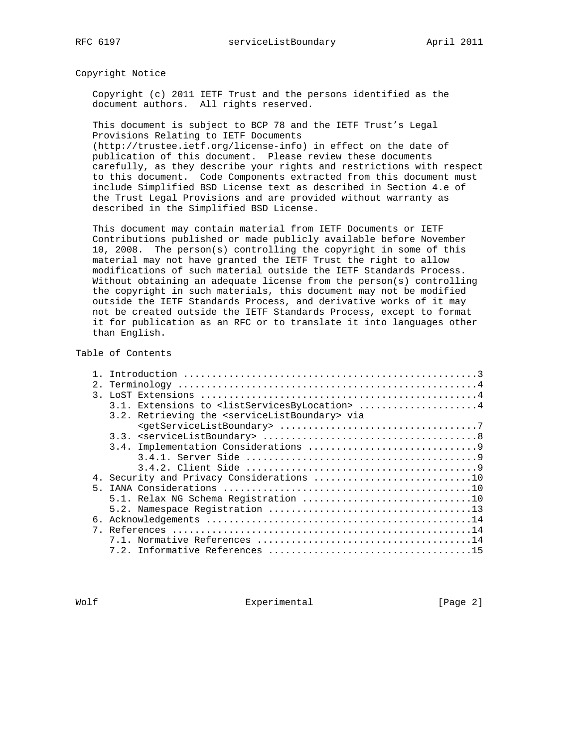Copyright Notice

 Copyright (c) 2011 IETF Trust and the persons identified as the document authors. All rights reserved.

 This document is subject to BCP 78 and the IETF Trust's Legal Provisions Relating to IETF Documents

 (http://trustee.ietf.org/license-info) in effect on the date of publication of this document. Please review these documents carefully, as they describe your rights and restrictions with respect to this document. Code Components extracted from this document must include Simplified BSD License text as described in Section 4.e of the Trust Legal Provisions and are provided without warranty as described in the Simplified BSD License.

 This document may contain material from IETF Documents or IETF Contributions published or made publicly available before November 10, 2008. The person(s) controlling the copyright in some of this material may not have granted the IETF Trust the right to allow modifications of such material outside the IETF Standards Process. Without obtaining an adequate license from the person(s) controlling the copyright in such materials, this document may not be modified outside the IETF Standards Process, and derivative works of it may not be created outside the IETF Standards Process, except to format it for publication as an RFC or to translate it into languages other than English.

#### Table of Contents

| 2.            |                                                                        |
|---------------|------------------------------------------------------------------------|
| $\mathcal{R}$ |                                                                        |
|               | 3.1. Extensions to <listservicesbylocation> 4</listservicesbylocation> |
|               | 3.2. Retrieving the <servicelistboundary> via</servicelistboundary>    |
|               |                                                                        |
|               |                                                                        |
|               |                                                                        |
|               |                                                                        |
|               |                                                                        |
|               | 4. Security and Privacy Considerations 10                              |
|               |                                                                        |
|               |                                                                        |
|               |                                                                        |
|               |                                                                        |
| $7^{\circ}$   |                                                                        |
|               |                                                                        |
|               |                                                                        |

Wolf **Experimental** Experimental [Page 2]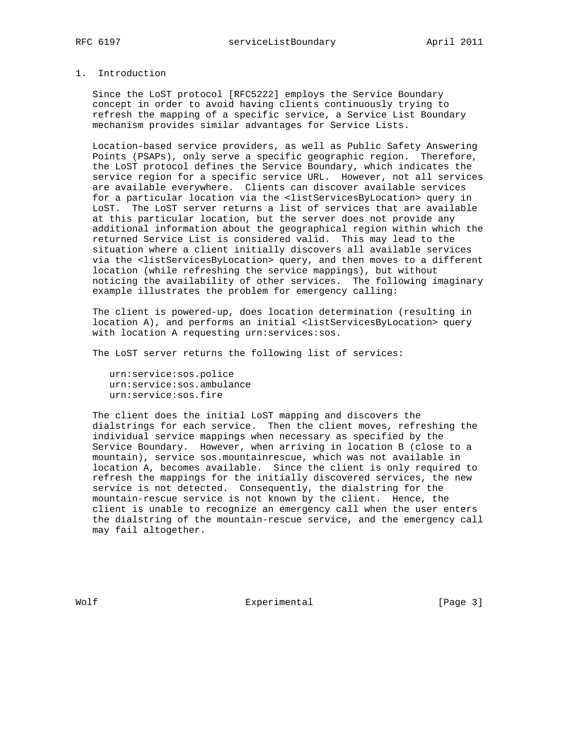## 1. Introduction

 Since the LoST protocol [RFC5222] employs the Service Boundary concept in order to avoid having clients continuously trying to refresh the mapping of a specific service, a Service List Boundary mechanism provides similar advantages for Service Lists.

 Location-based service providers, as well as Public Safety Answering Points (PSAPs), only serve a specific geographic region. Therefore, the LoST protocol defines the Service Boundary, which indicates the service region for a specific service URL. However, not all services are available everywhere. Clients can discover available services for a particular location via the <listServicesByLocation> query in LoST. The LoST server returns a list of services that are available at this particular location, but the server does not provide any additional information about the geographical region within which the returned Service List is considered valid. This may lead to the situation where a client initially discovers all available services via the <listServicesByLocation> query, and then moves to a different location (while refreshing the service mappings), but without noticing the availability of other services. The following imaginary example illustrates the problem for emergency calling:

 The client is powered-up, does location determination (resulting in location A), and performs an initial <listServicesByLocation> query with location A requesting urn:services:sos.

The LoST server returns the following list of services:

 urn:service:sos.police urn:service:sos.ambulance urn:service:sos.fire

 The client does the initial LoST mapping and discovers the dialstrings for each service. Then the client moves, refreshing the individual service mappings when necessary as specified by the Service Boundary. However, when arriving in location B (close to a mountain), service sos.mountainrescue, which was not available in location A, becomes available. Since the client is only required to refresh the mappings for the initially discovered services, the new service is not detected. Consequently, the dialstring for the mountain-rescue service is not known by the client. Hence, the client is unable to recognize an emergency call when the user enters the dialstring of the mountain-rescue service, and the emergency call may fail altogether.

Wolf **Experimental** Experimental [Page 3]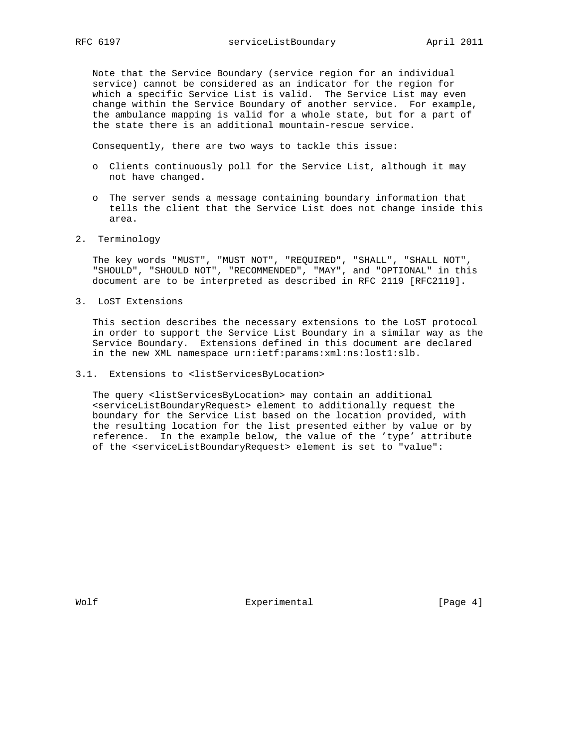Note that the Service Boundary (service region for an individual service) cannot be considered as an indicator for the region for which a specific Service List is valid. The Service List may even change within the Service Boundary of another service. For example, the ambulance mapping is valid for a whole state, but for a part of the state there is an additional mountain-rescue service.

Consequently, there are two ways to tackle this issue:

- o Clients continuously poll for the Service List, although it may not have changed.
- o The server sends a message containing boundary information that tells the client that the Service List does not change inside this area.
- 2. Terminology

 The key words "MUST", "MUST NOT", "REQUIRED", "SHALL", "SHALL NOT", "SHOULD", "SHOULD NOT", "RECOMMENDED", "MAY", and "OPTIONAL" in this document are to be interpreted as described in RFC 2119 [RFC2119].

3. LoST Extensions

 This section describes the necessary extensions to the LoST protocol in order to support the Service List Boundary in a similar way as the Service Boundary. Extensions defined in this document are declared in the new XML namespace urn:ietf:params:xml:ns:lost1:slb.

3.1. Extensions to <listServicesByLocation>

 The query <listServicesByLocation> may contain an additional <serviceListBoundaryRequest> element to additionally request the boundary for the Service List based on the location provided, with the resulting location for the list presented either by value or by reference. In the example below, the value of the 'type' attribute of the <serviceListBoundaryRequest> element is set to "value":

Wolf **Experimental** Experimental [Page 4]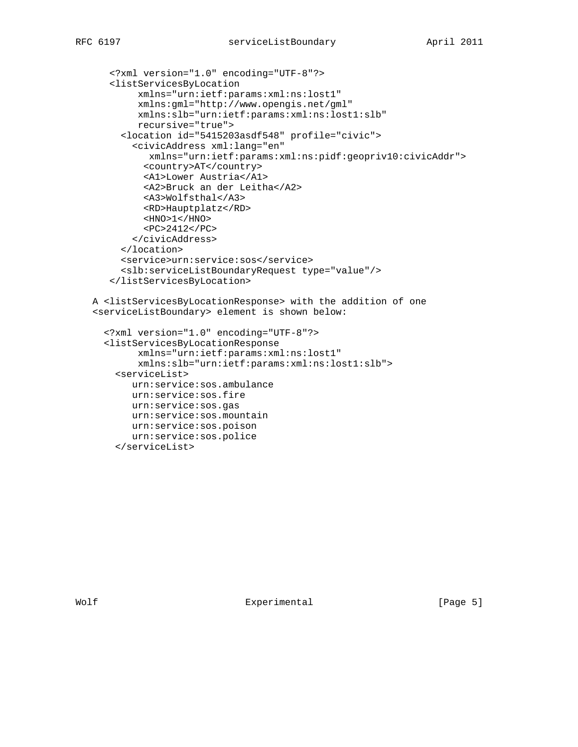```
 <?xml version="1.0" encoding="UTF-8"?>
   <listServicesByLocation
        xmlns="urn:ietf:params:xml:ns:lost1"
        xmlns:gml="http://www.opengis.net/gml"
        xmlns:slb="urn:ietf:params:xml:ns:lost1:slb"
        recursive="true">
     <location id="5415203asdf548" profile="civic">
       <civicAddress xml:lang="en"
          xmlns="urn:ietf:params:xml:ns:pidf:geopriv10:civicAddr">
         <country>AT</country>
         <A1>Lower Austria</A1>
         <A2>Bruck an der Leitha</A2>
         <A3>Wolfsthal</A3>
         <RD>Hauptplatz</RD>
        $\texttt{<HNO>1}<$/$\texttt{HNO>}$ <PC>2412</PC>
       </civicAddress>
     </location>
     <service>urn:service:sos</service>
     <slb:serviceListBoundaryRequest type="value"/>
   </listServicesByLocation>
A <listServicesByLocationResponse> with the addition of one
<serviceListBoundary> element is shown below:
```

```
 <?xml version="1.0" encoding="UTF-8"?>
<listServicesByLocationResponse
      xmlns="urn:ietf:params:xml:ns:lost1"
      xmlns:slb="urn:ietf:params:xml:ns:lost1:slb">
 <serviceList>
    urn:service:sos.ambulance
    urn:service:sos.fire
    urn:service:sos.gas
    urn:service:sos.mountain
    urn:service:sos.poison
    urn:service:sos.police
 </serviceList>
```
Wolf **Experimental** Experimental [Page 5]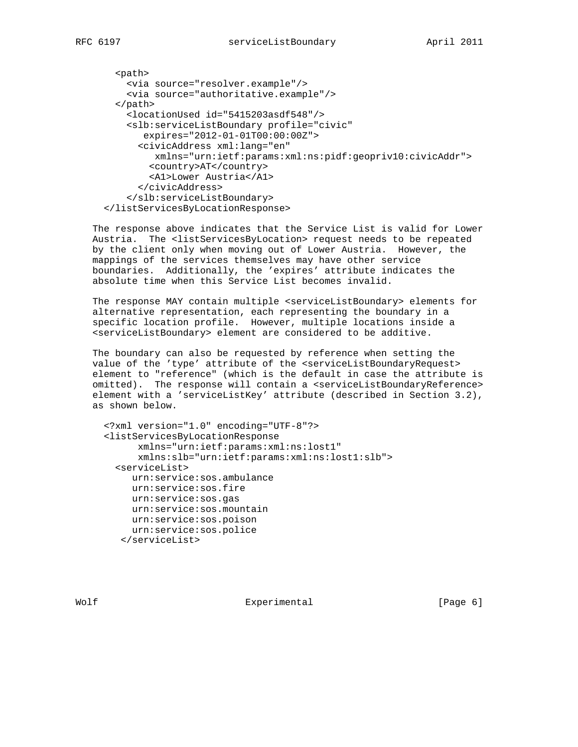```
 <path>
   <via source="resolver.example"/>
    <via source="authoritative.example"/>
 </path>
   <locationUsed id="5415203asdf548"/>
    <slb:serviceListBoundary profile="civic"
       expires="2012-01-01T00:00:00Z">
      <civicAddress xml:lang="en"
        xmlns="urn:ietf:params:xml:ns:pidf:geopriv10:civicAddr">
        <country>AT</country>
        <A1>Lower Austria</A1>
      </civicAddress>
    </slb:serviceListBoundary>
</listServicesByLocationResponse>
```
 The response above indicates that the Service List is valid for Lower Austria. The <listServicesByLocation> request needs to be repeated by the client only when moving out of Lower Austria. However, the mappings of the services themselves may have other service boundaries. Additionally, the 'expires' attribute indicates the absolute time when this Service List becomes invalid.

 The response MAY contain multiple <serviceListBoundary> elements for alternative representation, each representing the boundary in a specific location profile. However, multiple locations inside a <serviceListBoundary> element are considered to be additive.

 The boundary can also be requested by reference when setting the value of the 'type' attribute of the <serviceListBoundaryRequest> element to "reference" (which is the default in case the attribute is omitted). The response will contain a <serviceListBoundaryReference> element with a 'serviceListKey' attribute (described in Section 3.2), as shown below.

```
 <?xml version="1.0" encoding="UTF-8"?>
<listServicesByLocationResponse
      xmlns="urn:ietf:params:xml:ns:lost1"
      xmlns:slb="urn:ietf:params:xml:ns:lost1:slb">
  <serviceList>
     urn:service:sos.ambulance
    urn:service:sos.fire
    urn:service:sos.gas
    urn:service:sos.mountain
    urn:service:sos.poison
    urn:service:sos.police
   </serviceList>
```
Wolf **Experimental** Experimental [Page 6]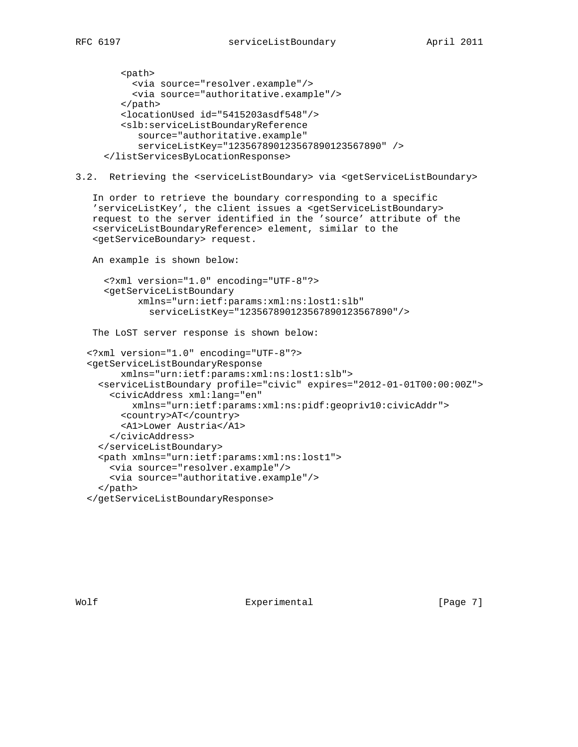```
 <path>
    <via source="resolver.example"/>
     <via source="authoritative.example"/>
   </path>
   <locationUsed id="5415203asdf548"/>
   <slb:serviceListBoundaryReference
      source="authoritative.example"
      serviceListKey="123567890123567890123567890" />
</listServicesByLocationResponse>
```

```
3.2. Retrieving the <serviceListBoundary> via <getServiceListBoundary>
```
 In order to retrieve the boundary corresponding to a specific 'serviceListKey', the client issues a <getServiceListBoundary> request to the server identified in the 'source' attribute of the <serviceListBoundaryReference> element, similar to the <getServiceBoundary> request.

```
 An example is shown below:
   <?xml version="1.0" encoding="UTF-8"?>
   <getServiceListBoundary
         xmlns="urn:ietf:params:xml:ns:lost1:slb"
           serviceListKey="123567890123567890123567890"/>
 The LoST server response is shown below:
<?xml version="1.0" encoding="UTF-8"?>
```

```
 <getServiceListBoundaryResponse
      xmlns="urn:ietf:params:xml:ns:lost1:slb">
  <serviceListBoundary profile="civic" expires="2012-01-01T00:00:00Z">
    <civicAddress xml:lang="en"
        xmlns="urn:ietf:params:xml:ns:pidf:geopriv10:civicAddr">
      <country>AT</country>
      <A1>Lower Austria</A1>
    </civicAddress>
  </serviceListBoundary>
  <path xmlns="urn:ietf:params:xml:ns:lost1">
    <via source="resolver.example"/>
    <via source="authoritative.example"/>
  </path>
</getServiceListBoundaryResponse>
```
Wolf **Experimental** Experimental [Page 7]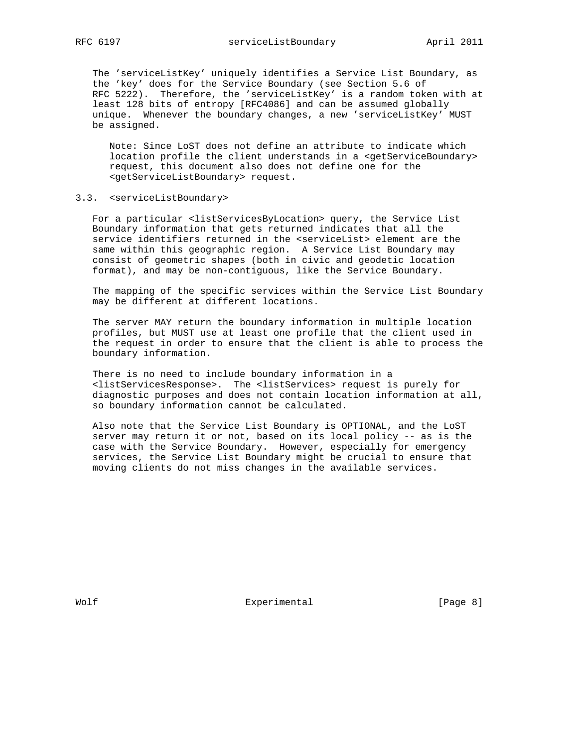The 'serviceListKey' uniquely identifies a Service List Boundary, as the 'key' does for the Service Boundary (see Section 5.6 of RFC 5222). Therefore, the 'serviceListKey' is a random token with at least 128 bits of entropy [RFC4086] and can be assumed globally unique. Whenever the boundary changes, a new 'serviceListKey' MUST be assigned.

 Note: Since LoST does not define an attribute to indicate which location profile the client understands in a <getServiceBoundary> request, this document also does not define one for the <getServiceListBoundary> request.

# 3.3. <serviceListBoundary>

 For a particular <listServicesByLocation> query, the Service List Boundary information that gets returned indicates that all the service identifiers returned in the <serviceList> element are the same within this geographic region. A Service List Boundary may consist of geometric shapes (both in civic and geodetic location format), and may be non-contiguous, like the Service Boundary.

 The mapping of the specific services within the Service List Boundary may be different at different locations.

 The server MAY return the boundary information in multiple location profiles, but MUST use at least one profile that the client used in the request in order to ensure that the client is able to process the boundary information.

 There is no need to include boundary information in a <listServicesResponse>. The <listServices> request is purely for diagnostic purposes and does not contain location information at all, so boundary information cannot be calculated.

 Also note that the Service List Boundary is OPTIONAL, and the LoST server may return it or not, based on its local policy -- as is the case with the Service Boundary. However, especially for emergency services, the Service List Boundary might be crucial to ensure that moving clients do not miss changes in the available services.

Wolf **Experimental** Experimental [Page 8]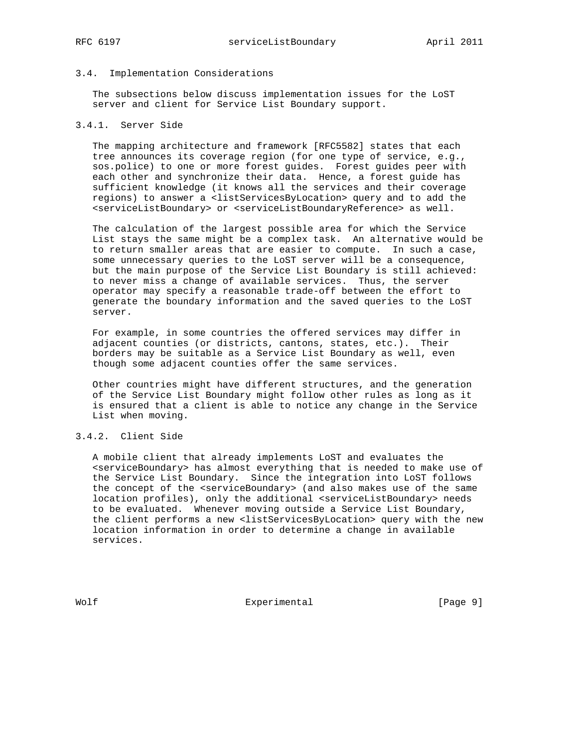# 3.4. Implementation Considerations

 The subsections below discuss implementation issues for the LoST server and client for Service List Boundary support.

# 3.4.1. Server Side

 The mapping architecture and framework [RFC5582] states that each tree announces its coverage region (for one type of service, e.g., sos.police) to one or more forest guides. Forest guides peer with each other and synchronize their data. Hence, a forest guide has sufficient knowledge (it knows all the services and their coverage regions) to answer a <listServicesByLocation> query and to add the <serviceListBoundary> or <serviceListBoundaryReference> as well.

 The calculation of the largest possible area for which the Service List stays the same might be a complex task. An alternative would be to return smaller areas that are easier to compute. In such a case, some unnecessary queries to the LoST server will be a consequence, but the main purpose of the Service List Boundary is still achieved: to never miss a change of available services. Thus, the server operator may specify a reasonable trade-off between the effort to generate the boundary information and the saved queries to the LoST server.

 For example, in some countries the offered services may differ in adjacent counties (or districts, cantons, states, etc.). Their borders may be suitable as a Service List Boundary as well, even though some adjacent counties offer the same services.

 Other countries might have different structures, and the generation of the Service List Boundary might follow other rules as long as it is ensured that a client is able to notice any change in the Service List when moving.

#### 3.4.2. Client Side

 A mobile client that already implements LoST and evaluates the <serviceBoundary> has almost everything that is needed to make use of the Service List Boundary. Since the integration into LoST follows the concept of the <serviceBoundary> (and also makes use of the same location profiles), only the additional <serviceListBoundary> needs to be evaluated. Whenever moving outside a Service List Boundary, the client performs a new <listServicesByLocation> query with the new location information in order to determine a change in available services.

Wolf Experimental Experimental [Page 9]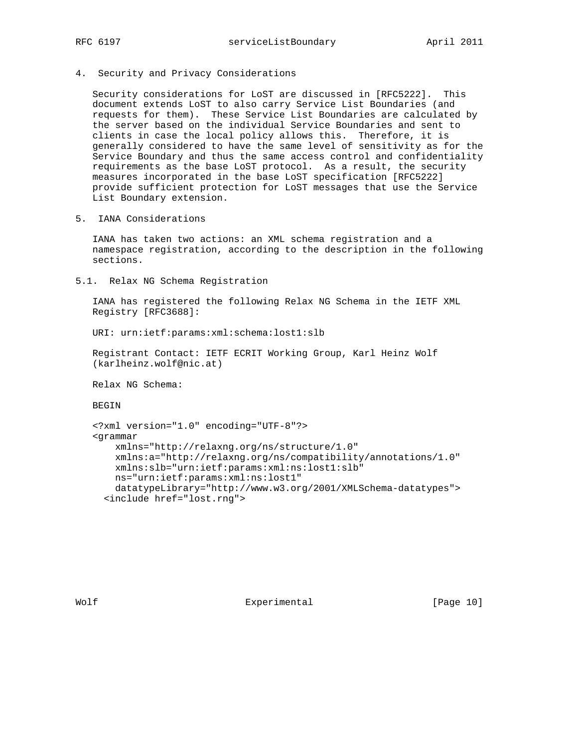4. Security and Privacy Considerations

 Security considerations for LoST are discussed in [RFC5222]. This document extends LoST to also carry Service List Boundaries (and requests for them). These Service List Boundaries are calculated by the server based on the individual Service Boundaries and sent to clients in case the local policy allows this. Therefore, it is generally considered to have the same level of sensitivity as for the Service Boundary and thus the same access control and confidentiality requirements as the base LoST protocol. As a result, the security measures incorporated in the base LoST specification [RFC5222] provide sufficient protection for LoST messages that use the Service List Boundary extension.

5. IANA Considerations

 IANA has taken two actions: an XML schema registration and a namespace registration, according to the description in the following sections.

5.1. Relax NG Schema Registration

 IANA has registered the following Relax NG Schema in the IETF XML Registry [RFC3688]:

URI: urn:ietf:params:xml:schema:lost1:slb

 Registrant Contact: IETF ECRIT Working Group, Karl Heinz Wolf (karlheinz.wolf@nic.at)

Relax NG Schema:

BEGIN

```
 <?xml version="1.0" encoding="UTF-8"?>
<grammar
   xmlns="http://relaxng.org/ns/structure/1.0"
    xmlns:a="http://relaxng.org/ns/compatibility/annotations/1.0"
   xmlns:slb="urn:ietf:params:xml:ns:lost1:slb"
   ns="urn:ietf:params:xml:ns:lost1"
   datatypeLibrary="http://www.w3.org/2001/XMLSchema-datatypes">
  <include href="lost.rng">
```
Wolf Experimental [Page 10]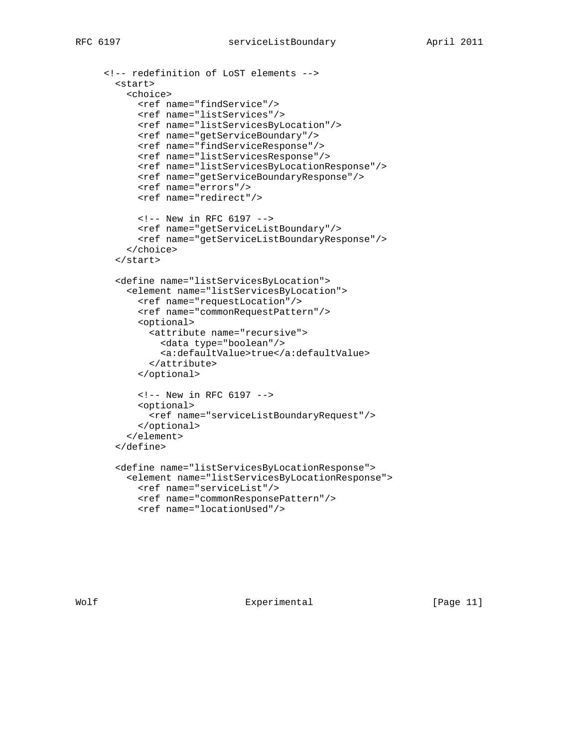```
 <!-- redefinition of LoST elements -->
 <start>
    <choice>
      <ref name="findService"/>
      <ref name="listServices"/>
      <ref name="listServicesByLocation"/>
     <ref name="getServiceBoundary"/>
     <ref name="findServiceResponse"/>
      <ref name="listServicesResponse"/>
      <ref name="listServicesByLocationResponse"/>
      <ref name="getServiceBoundaryResponse"/>
      <ref name="errors"/>
      <ref name="redirect"/>
      <!-- New in RFC 6197 -->
      <ref name="getServiceListBoundary"/>
      <ref name="getServiceListBoundaryResponse"/>
    </choice>
 </start>
 <define name="listServicesByLocation">
    <element name="listServicesByLocation">
      <ref name="requestLocation"/>
      <ref name="commonRequestPattern"/>
      <optional>
        <attribute name="recursive">
          <data type="boolean"/>
          <a:defaultValue>true</a:defaultValue>
        </attribute>
      </optional>
      <!-- New in RFC 6197 -->
      <optional>
       <ref name="serviceListBoundaryRequest"/>
      </optional>
    </element>
 </define>
  <define name="listServicesByLocationResponse">
   <element name="listServicesByLocationResponse">
      <ref name="serviceList"/>
      <ref name="commonResponsePattern"/>
      <ref name="locationUsed"/>
```
Wolf Experimental [Page 11]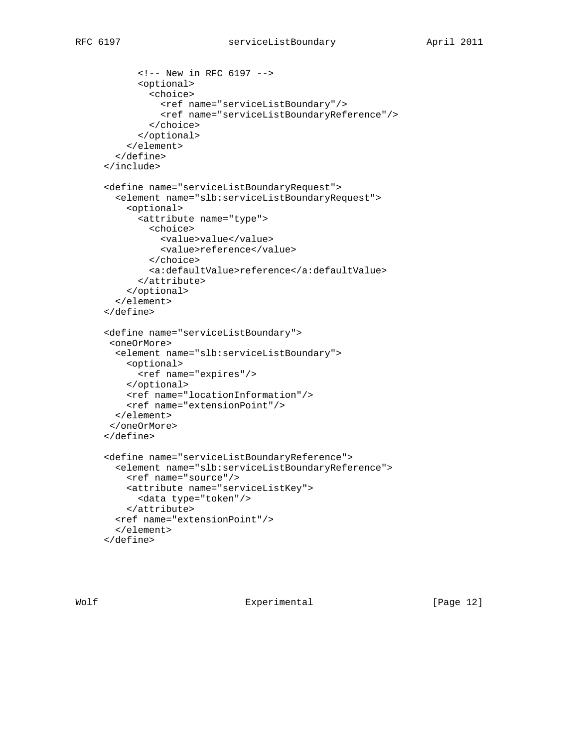```
 <!-- New in RFC 6197 -->
      <optional>
        <choice>
          <ref name="serviceListBoundary"/>
          <ref name="serviceListBoundaryReference"/>
        </choice>
      </optional>
    </element>
  </define>
</include>
<define name="serviceListBoundaryRequest">
  <element name="slb:serviceListBoundaryRequest">
    <optional>
      <attribute name="type">
        <choice>
          <value>value</value>
          <value>reference</value>
        </choice>
        <a:defaultValue>reference</a:defaultValue>
      </attribute>
    </optional>
  </element>
</define>
<define name="serviceListBoundary">
 <oneOrMore>
  <element name="slb:serviceListBoundary">
    <optional>
      <ref name="expires"/>
    </optional>
    <ref name="locationInformation"/>
    <ref name="extensionPoint"/>
  </element>
 </oneOrMore>
</define>
<define name="serviceListBoundaryReference">
  <element name="slb:serviceListBoundaryReference">
    <ref name="source"/>
   <attribute name="serviceListKey">
      <data type="token"/>
    </attribute>
  <ref name="extensionPoint"/>
  </element>
</define>
```
Wolf **Experimental** Experimental [Page 12]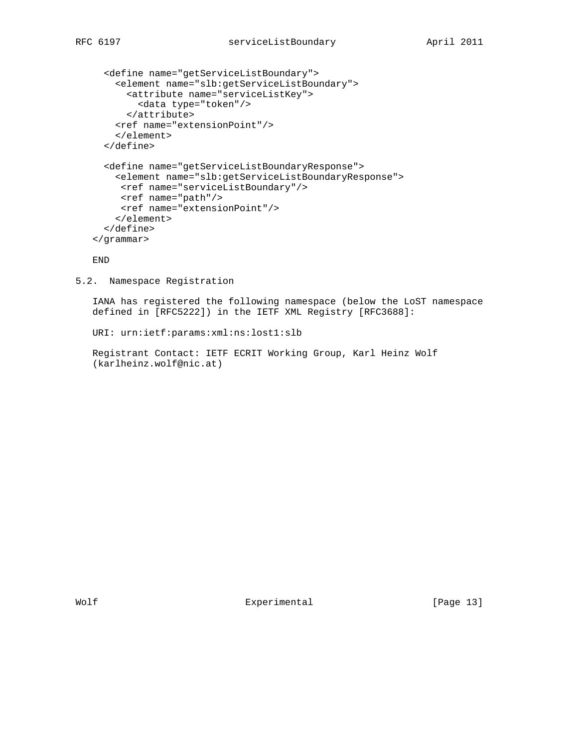```
 <define name="getServiceListBoundary">
    <element name="slb:getServiceListBoundary">
      <attribute name="serviceListKey">
        <data type="token"/>
      </attribute>
    <ref name="extensionPoint"/>
    </element>
  </define>
 <define name="getServiceListBoundaryResponse">
   <element name="slb:getServiceListBoundaryResponse">
     <ref name="serviceListBoundary"/>
     <ref name="path"/>
     <ref name="extensionPoint"/>
    </element>
  </define>
</grammar>
```
END

5.2. Namespace Registration

 IANA has registered the following namespace (below the LoST namespace defined in [RFC5222]) in the IETF XML Registry [RFC3688]:

```
 URI: urn:ietf:params:xml:ns:lost1:slb
```
 Registrant Contact: IETF ECRIT Working Group, Karl Heinz Wolf (karlheinz.wolf@nic.at)

Wolf Experimental [Page 13]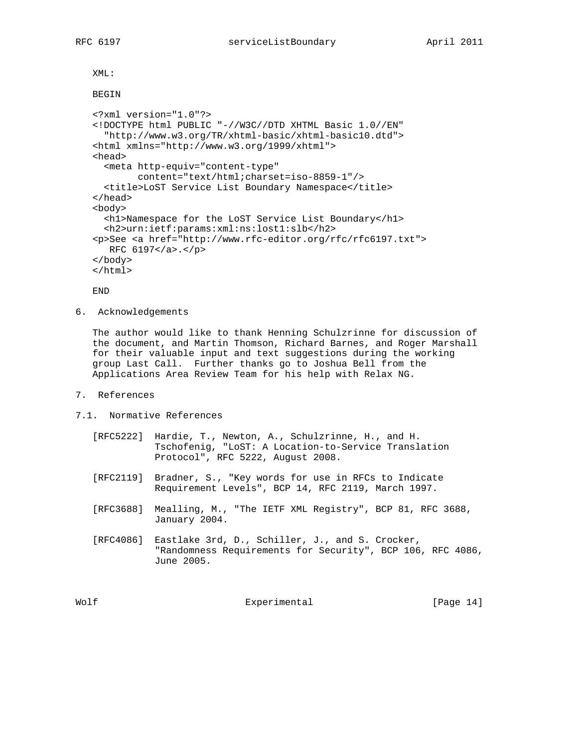XML:

#### BEGIN

```
 <?xml version="1.0"?>
<!DOCTYPE html PUBLIC "-//W3C//DTD XHTML Basic 1.0//EN"
  "http://www.w3.org/TR/xhtml-basic/xhtml-basic10.dtd">
<html xmlns="http://www.w3.org/1999/xhtml">
<head>
  <meta http-equiv="content-type"
        content="text/html;charset=iso-8859-1"/>
  <title>LoST Service List Boundary Namespace</title>
</head>
<body>
  <h1>Namespace for the LoST Service List Boundary</h1>
  <h2>urn:ietf:params:xml:ns:lost1:slb</h2>
<p>See <a href="http://www.rfc-editor.org/rfc/rfc6197.txt">
  RFC 6197</a>.</p>
</body>
</html>
```
END

6. Acknowledgements

 The author would like to thank Henning Schulzrinne for discussion of the document, and Martin Thomson, Richard Barnes, and Roger Marshall for their valuable input and text suggestions during the working group Last Call. Further thanks go to Joshua Bell from the Applications Area Review Team for his help with Relax NG.

- 7. References
- 7.1. Normative References
	- [RFC5222] Hardie, T., Newton, A., Schulzrinne, H., and H. Tschofenig, "LoST: A Location-to-Service Translation Protocol", RFC 5222, August 2008.
	- [RFC2119] Bradner, S., "Key words for use in RFCs to Indicate Requirement Levels", BCP 14, RFC 2119, March 1997.
	- [RFC3688] Mealling, M., "The IETF XML Registry", BCP 81, RFC 3688, January 2004.
	- [RFC4086] Eastlake 3rd, D., Schiller, J., and S. Crocker, "Randomness Requirements for Security", BCP 106, RFC 4086, June 2005.

Wolf **Experimental** Experimental [Page 14]